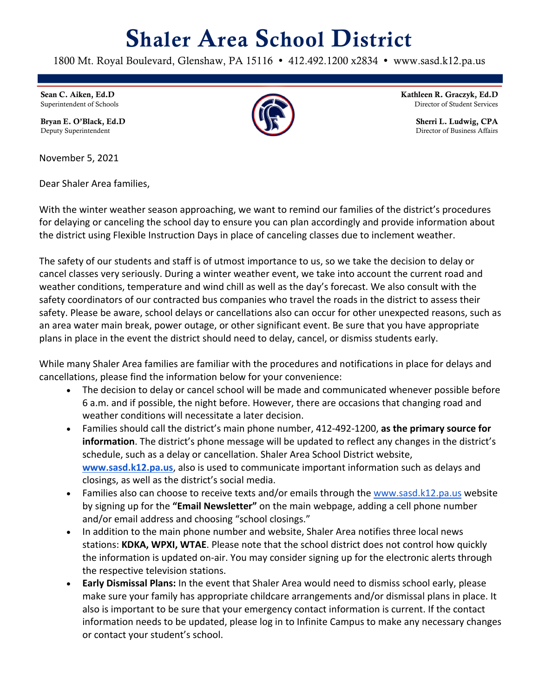## Shaler Area School District

1800 Mt. Royal Boulevard, Glenshaw, PA 15116 . 412.492.1200 x2834 . www.sasd.k12.pa.us

Sean C. Aiken, Ed.D Superintendent of Schools

Bryan E. O'Black, Ed.D Deputy Superintendent

November 5, 2021

Dear Shaler Area families,

With the winter weather season approaching, we want to remind our families of the district's procedures for delaying or canceling the school day to ensure you can plan accordingly and provide information about the district using Flexible Instruction Days in place of canceling classes due to inclement weather.

The safety of our students and staff is of utmost importance to us, so we take the decision to delay or cancel classes very seriously. During a winter weather event, we take into account the current road and weather conditions, temperature and wind chill as well as the day's forecast. We also consult with the safety coordinators of our contracted bus companies who travel the roads in the district to assess their safety. Please be aware, school delays or cancellations also can occur for other unexpected reasons, such as an area water main break, power outage, or other significant event. Be sure that you have appropriate plans in place in the event the district should need to delay, cancel, or dismiss students early.

While many Shaler Area families are familiar with the procedures and notifications in place for delays and cancellations, please find the information below for your convenience:

- The decision to delay or cancel school will be made and communicated whenever possible before 6 a.m. and if possible, the night before. However, there are occasions that changing road and weather conditions will necessitate a later decision.
- Families should call the district's main phone number, 412-492-1200, **as the primary source for information**. The district's phone message will be updated to reflect any changes in the district's schedule, such as a delay or cancellation. Shaler Area School District website, **www.sasd.k12.pa.us**, also is used to communicate important information such as delays and closings, as well as the district's social media.
- Families also can choose to receive texts and/or emails through the www.sasd.k12.pa.us website by signing up for the **"Email Newsletter"** on the main webpage, adding a cell phone number and/or email address and choosing "school closings."
- In addition to the main phone number and website, Shaler Area notifies three local news stations: **KDKA, WPXI, WTAE**. Please note that the school district does not control how quickly the information is updated on-air. You may consider signing up for the electronic alerts through the respective television stations.
- **Early Dismissal Plans:** In the event that Shaler Area would need to dismiss school early, please make sure your family has appropriate childcare arrangements and/or dismissal plans in place. It also is important to be sure that your emergency contact information is current. If the contact information needs to be updated, please log in to Infinite Campus to make any necessary changes or contact your student's school.



Kathleen R. Graczyk, Ed.D Director of Student Services

> Sherri L. Ludwig, CPA Director of Business Affairs